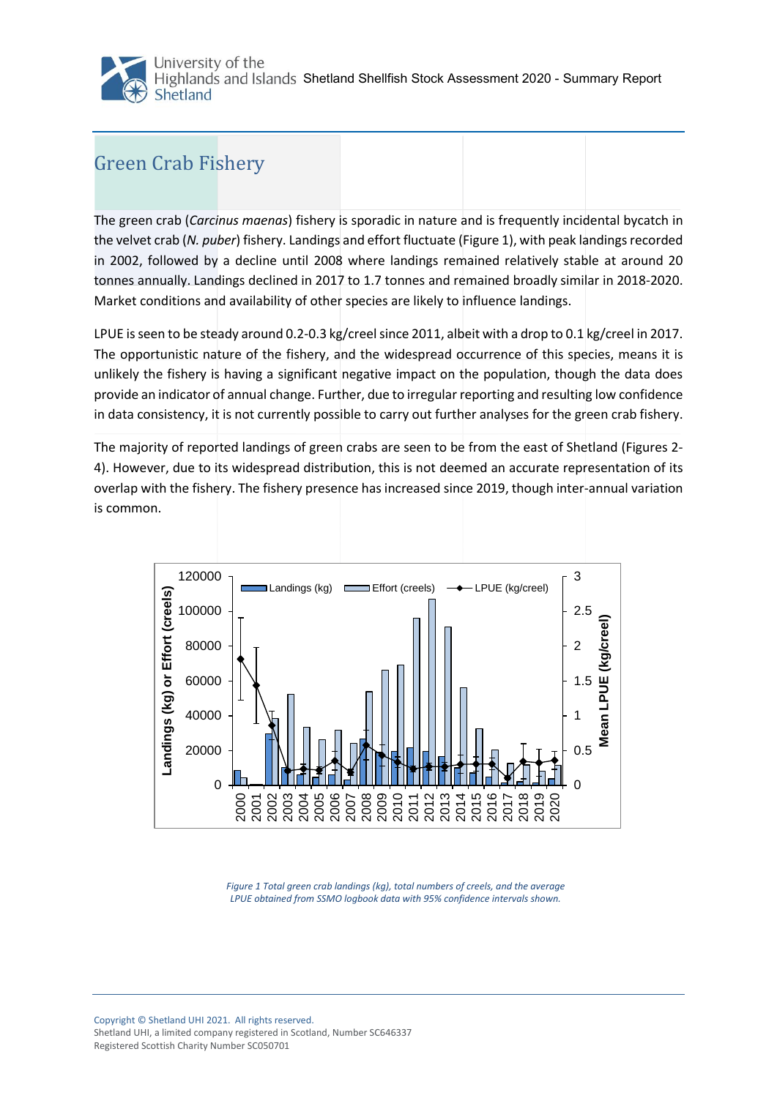## Green Crab Fishery

The green crab (*Carcinus maenas*) fishery is sporadic in nature and is frequently incidental bycatch in the velvet crab (*N. puber*) fishery. Landings and effort fluctuate [\(Figure 1\)](#page-0-0), with peak landings recorded in 2002, followed by a decline until 2008 where landings remained relatively stable at around 20 tonnes annually. Landings declined in 2017 to 1.7 tonnes and remained broadly similar in 2018-2020. Market conditions and availability of other species are likely to influence landings.

LPUE is seen to be steady around 0.2-0.3 kg/creel since 2011, albeit with a drop to 0.1 kg/creel in 2017. The opportunistic nature of the fishery, and the widespread occurrence of this species, means it is unlikely the fishery is having a significant negative impact on the population, though the data does provide an indicator of annual change. Further, due to irregular reporting and resulting low confidence in data consistency, it is not currently possible to carry out further analyses for the green crab fishery.

The majority of reported landings of green crabs are seen to be from the east of Shetland (Figures 2- 4). However, due to its widespread distribution, this is not deemed an accurate representation of its overlap with the fishery. The fishery presence has increased since 2019, though inter-annual variation is common.



<span id="page-0-0"></span>*Figure 1 Total green crab landings (kg), total numbers of creels, and the average LPUE obtained from SSMO logbook data with 95% confidence intervals shown.*